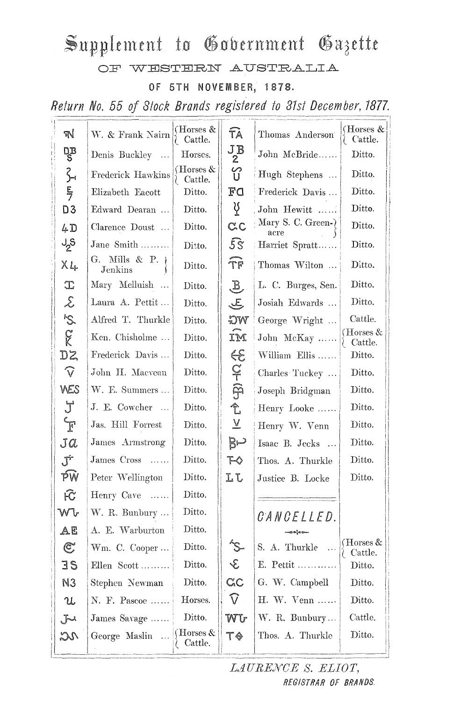## Supplement to Government Gazette

OF WESTERN AUSTRALIA

OF 5TH NOVEMBER, 1878.

Return No. 55 of Stock Brands registered to 31st December, 1877.

| W                                   | W. & Frank Nairn                | (Horses &<br>Cattle.                 | FÀ                                | Thomas Anderson           | (Horses &<br>Cattle.               |  |
|-------------------------------------|---------------------------------|--------------------------------------|-----------------------------------|---------------------------|------------------------------------|--|
| DB<br>S                             | Denis Buckley<br>$\ldots$       | Horses.                              | $J_2^B$                           | John McBride              | Ditto.                             |  |
|                                     | Frederick Hawkins               | (Horses $&$<br>Cattle.               | ႗ၟ                                | Hugh Stephens             | Ditto.                             |  |
| 3月                                  | Elizabeth Eacott                | Ditto.                               | $\mathbf{F} \mathbf{C}$           | Frederick Davis           | Ditto.                             |  |
| D <sub>3</sub>                      | Edward Dearan                   | Ditto.                               | Ϋ́                                | Ditto.                    |                                    |  |
| 4D                                  | Clarence Doust                  | Ditto.                               | $C_{C}$                           | Mary S. C. Green-<br>acre | Ditto.                             |  |
| $J_{2}S$                            | Jane Smith                      | Ditto.                               | $\overline{5S}$<br>Harriet Spratt |                           | Ditto.                             |  |
| $X_{4}$                             | G. Mills & P. $\chi$<br>Jenkins | Ditto.                               | Ϋ́F                               | Ditto.                    |                                    |  |
| $\mathbb T$                         | Mary Melluish                   | Ditto.                               | $\mathcal{F}$                     | L. C. Burges, Sen.        | Ditto.                             |  |
| $\mathcal{S}$                       | Laura A. Pettit                 | Ditto.                               | $\mathcal{L}$                     | Josiah Edwards            | Ditto.                             |  |
| $\mathcal{S}$                       | Alfred T. Thurkle               | Ditto.                               | WG                                | George Wright             | Cattle.                            |  |
| $\widetilde{\mathcal{K}}$           | Ken. Chisholme                  | Ditto.                               | IM                                | John McKay                | (Horses &<br>Cattle.               |  |
| DZ                                  | Frederick Davis                 | Ditto.                               | $\epsilon$                        | William Ellis             | Ditto.                             |  |
| $\widehat{\mathsf{V}}$              | John H. Macvean                 | Ditto.                               | $\frac{1}{9}$                     | Charles Tuckey            | Ditto.                             |  |
| WES                                 | W. E. Summers                   | Ditto.                               |                                   | Joseph Bridgman           | Ditto.                             |  |
| J                                   | J. E. Cowcher                   | Ditto.                               | $\hat{\mathbb{L}}$                | Henry Looke               | Ditto.                             |  |
| $\mathbf{F}$                        | Jas. Hill Forrest               | Ditto.                               | $\overline{\Lambda}$              | Henry W. Venn             | Ditto.                             |  |
| Ja                                  | James Armstrong                 | Ditto.                               | B∽                                | Isaac B. Jecks            | Ditto.                             |  |
| $J^{\pm}$                           | James Cross                     | Ditto.                               | $\mathcal{F} \diamond$            | Thos. A. Thurkle          | Ditto.                             |  |
| РŴ                                  | Peter Wellington                | Ditto.                               | Lζ                                | Justice B. Locke          | Ditto.                             |  |
| $\widehat{\mathcal{K}}$             | Henry Cave<br>$\ldots$          | Ditto.                               |                                   |                           |                                    |  |
| Wŀ                                  | W. R. Bunbury                   | Ditto.                               |                                   | <i>CANCELLED.</i>         |                                    |  |
| AE                                  | A. E. Warburton                 | Ditto.                               |                                   | —ാം¦ം പെ                  |                                    |  |
| $\mathfrak{C}$                      | $Wm.$ C. Cooper                 | Ditto.                               |                                   | S. A. Thurkle             | $( {\rm Horses\, \& \,$<br>Cattle. |  |
| 3S                                  | Ellen Scott                     | Ditto.                               | $\mathcal{E}$                     | E. Pettit                 | Ditto.                             |  |
| N <sub>3</sub>                      | Stephen Newman                  | Ditto.                               | C <sub>c</sub>                    | G. W. Campbell            | Ditto.                             |  |
| U                                   | N. F. Pascoe                    | Horses.                              | $\widehat{\mathsf{V}}$            | $H. W. Venn \dots$        | Ditto.                             |  |
| $J^{\! \! \! \! \! \! \! \cdot \,}$ | James Savage                    | Ditto.                               | WU                                | W. R. Bunbury             | Cattle.                            |  |
| 20                                  | George Maslin                   | $\operatorname{Horses}$ &<br>Cattle. | T♦                                | Thos. A. Thurkle          | Ditto.                             |  |
|                                     |                                 |                                      |                                   |                           |                                    |  |

LAURENCE S. ELIOT, REGISTRAR OF BRANDS.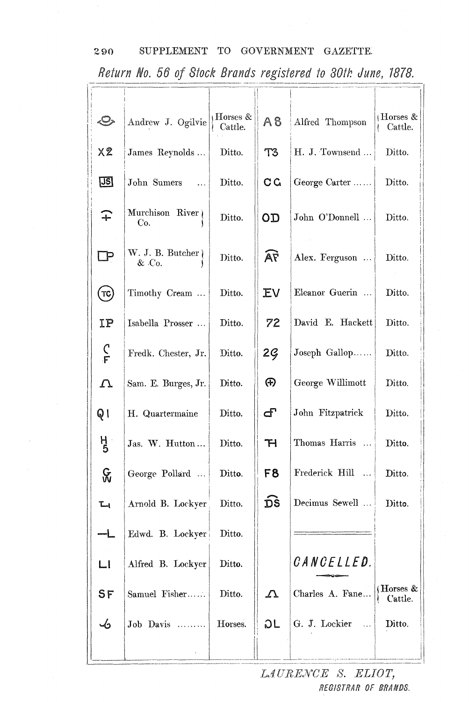| Return No. 56 of Stock Brands registered to 30th June, 1878. |                            |                       |                |                  |                         |  |  |  |
|--------------------------------------------------------------|----------------------------|-----------------------|----------------|------------------|-------------------------|--|--|--|
|                                                              |                            |                       |                |                  |                         |  |  |  |
| √O                                                           | Andrew J. Ogilvie          | Horses $&$<br>Cattle. | A8             | Alfred Thompson  | Horses $\&$<br>Cattle.  |  |  |  |
| X <sub>2</sub>                                               | James Reynolds             | Ditto.                | T3             | H. J. Townsend   | Ditto.                  |  |  |  |
| <u>US]</u>                                                   | John Sumers                | Ditto.                | C G            | George Carter    | Ditto.                  |  |  |  |
| $\widehat{+}$                                                | Murchison River<br>Co.     | Ditto.                | OD             | John O'Donnell   | Ditto.                  |  |  |  |
| $\Box$                                                       | W. J. B. Butcher)<br>& Co. | Ditto.                | AF             | Alex. Ferguson   | Ditto.                  |  |  |  |
| $(\tau$ c)                                                   | Timothy Cream              | Ditto.                | <b>EV</b>      | Eleanor Guerin   | Ditto.                  |  |  |  |
| IP                                                           | Isabella Prosser $\ldots$  | Ditto.                | 72             | David E. Hackett | Ditto.                  |  |  |  |
| $\frac{C}{F}$                                                | Fredk. Chester, Jr.        | Ditto.                | 2 <sub>g</sub> | Joseph Gallop    | Ditto.                  |  |  |  |
| $\boldsymbol{\mathcal{L}}$                                   | Sam. E. Burges, Jr.        | Ditto.                | ⊕              | George Willimott | Ditto.                  |  |  |  |
| Q I                                                          | H. Quartermaine            | Ditto.                |                | John Fitzpatrick | Ditto.                  |  |  |  |
| $\frac{H}{5}$                                                | Jas. W. Hutton             | Ditto.                | $\mathbb{H}$   | Thomas Harris    | Ditto.                  |  |  |  |
| $\&$                                                         | George Pollard             | Ditto.                | F8             | Frederick Hill   | Ditto.                  |  |  |  |
| $\mathbb{L}$                                                 | Arnold B. Lockyer          | Ditto.                | ĎŠ             | Decimus Sewell   | Ditto.                  |  |  |  |
| ᅳᆜ_                                                          | Edwd. B. Lockyer           | Ditto.                |                |                  |                         |  |  |  |
| L1                                                           | Alfred B. Lockyer          | Ditto.                |                | CANCELLED.       |                         |  |  |  |
| SF                                                           | Samuel Fisher              | Ditto.                | $\Delta$       | Charles A. Fane  | (Horses $\&$<br>Cattle. |  |  |  |
| -6                                                           | Job Davis                  | Horses.               | つし             | G. J. Lockier    | Ditto.                  |  |  |  |
|                                                              |                            |                       |                |                  |                         |  |  |  |

## 290 SUPPLEMENT TO GOVERNMENT GAZETTE.

LAURENCE S. ELIOT, REGISTRAR OF BRANDS.